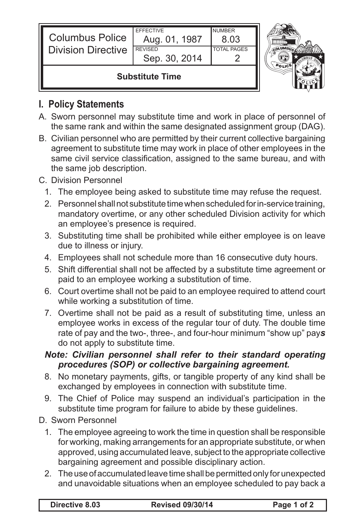| <b>Columbus Police</b><br><b>Division Directive</b> | <b>EFFECTIVE</b><br>Aug. 01, 1987<br><b>REVISED</b><br>Sep. 30, 2014 | <b>NUMBER</b><br>8.03<br><b>TOTAL PAGES</b> |  |
|-----------------------------------------------------|----------------------------------------------------------------------|---------------------------------------------|--|
| <b>Substitute Time</b>                              |                                                                      |                                             |  |

## **I. Policy Statements**

- A. Sworn personnel may substitute time and work in place of personnel of the same rank and within the same designated assignment group (DAG).
- B. Civilian personnel who are permitted by their current collective bargaining agreement to substitute time may work in place of other employees in the same civil service classification, assigned to the same bureau, and with the same job description.

## C. Division Personnel

- 1. The employee being asked to substitute time may refuse the request.
- 2. Personnel shall not substitute time when scheduled for in-service training, mandatory overtime, or any other scheduled Division activity for which an employee's presence is required.
- 3. Substituting time shall be prohibited while either employee is on leave due to illness or injury.
- 4. Employees shall not schedule more than 16 consecutive duty hours.
- 5. Shift differential shall not be affected by a substitute time agreement or paid to an employee working a substitution of time.
- 6. Court overtime shall not be paid to an employee required to attend court while working a substitution of time.
- 7. Overtime shall not be paid as a result of substituting time, unless an employee works in excess of the regular tour of duty. The double time rate of pay and the two-, three-, and four-hour minimum "show up" pay*s* do not apply to substitute time.

## *Note: Civilian personnel shall refer to their standard operating procedures (SOP) or collective bargaining agreement.*

- 8. No monetary payments, gifts, or tangible property of any kind shall be exchanged by employees in connection with substitute time.
- 9. The Chief of Police may suspend an individual's participation in the substitute time program for failure to abide by these guidelines.
- D. Sworn Personnel
	- 1. The employee agreeing to work the time in question shall be responsible for working, making arrangements for an appropriate substitute, or when approved, using accumulated leave, subject to the appropriate collective bargaining agreement and possible disciplinary action.
	- 2. The use of accumulated leave time shall be permitted only for unexpected and unavoidable situations when an employee scheduled to pay back a